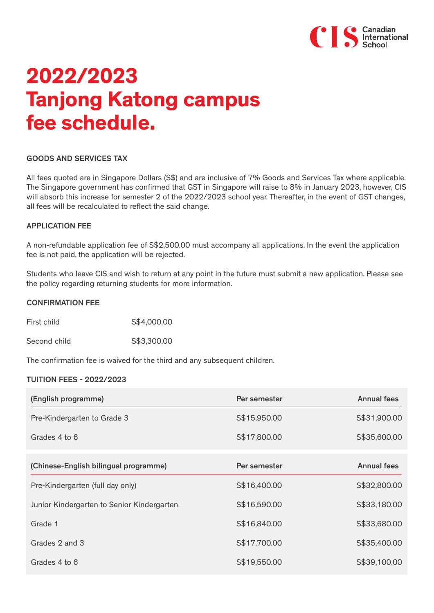

# **2022/2023 Tanjong Katong campus fee schedule.**

#### GOODS AND SERVICES TAX

All fees quoted are in Singapore Dollars (S\$) and are inclusive of 7% Goods and Services Tax where applicable. The Singapore government has confirmed that GST in Singapore will raise to 8% in January 2023, however, CIS will absorb this increase for semester 2 of the 2022/2023 school year. Thereafter, in the event of GST changes, all fees will be recalculated to reflect the said change.

#### APPLICATION FEE

A non-refundable application fee of S\$2,500.00 must accompany all applications. In the event the application fee is not paid, the application will be rejected.

Students who leave CIS and wish to return at any point in the future must submit a new application. Please see the policy regarding returning students for more information.

#### CONFIRMATION FEE

First child S\$4,000.00

Second child 653,300.00

The confirmation fee is waived for the third and any subsequent children.

## TUITION FEES - 2022/2023

| (English programme)                        | Per semester | <b>Annual fees</b> |
|--------------------------------------------|--------------|--------------------|
| Pre-Kindergarten to Grade 3                | S\$15,950.00 | S\$31,900.00       |
| Grades 4 to 6                              | S\$17,800.00 | S\$35,600.00       |
| (Chinese-English bilingual programme)      | Per semester | <b>Annual fees</b> |
| Pre-Kindergarten (full day only)           | S\$16,400.00 | S\$32,800.00       |
| Junior Kindergarten to Senior Kindergarten | S\$16,590.00 | S\$33,180.00       |
| Grade 1                                    | S\$16,840.00 | S\$33,680.00       |
| Grades 2 and 3                             | S\$17,700.00 | S\$35,400.00       |
| Grades 4 to 6                              | S\$19,550.00 | S\$39,100.00       |